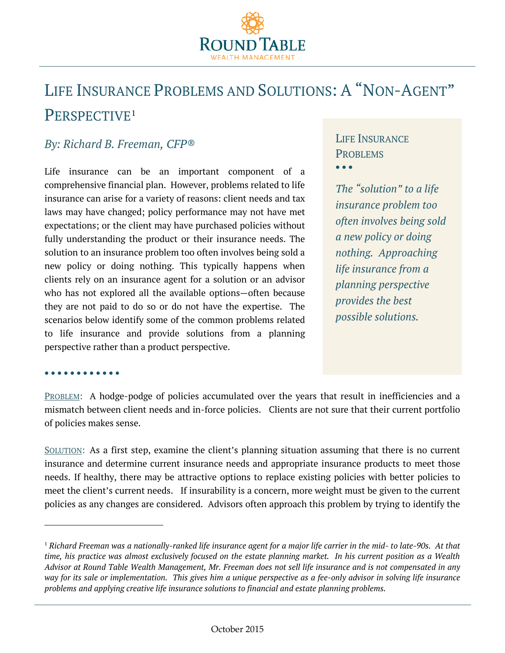

# LIFE INSURANCE PROBLEMS AND SOLUTIONS: A "NON-AGENT" PERSPECTIVE[1](#page-0-0)

## *By: Richard B. Freeman, CFP®*

Life insurance can be an important component of a comprehensive financial plan. However, problems related to life insurance can arise for a variety of reasons: client needs and tax laws may have changed; policy performance may not have met expectations; or the client may have purchased policies without fully understanding the product or their insurance needs. The solution to an insurance problem too often involves being sold a new policy or doing nothing. This typically happens when clients rely on an insurance agent for a solution or an advisor who has not explored all the available options—often because they are not paid to do so or do not have the expertise. The scenarios below identify some of the common problems related to life insurance and provide solutions from a planning perspective rather than a product perspective.

## LIFE INSURANCE PROBLEMS • • •

*The "solution" to a life insurance problem too often involves being sold a new policy or doing nothing. Approaching life insurance from a planning perspective provides the best possible solutions.* 

#### • • • • • • • • • • • •

 $\overline{a}$ 

PROBLEM: A hodge-podge of policies accumulated over the years that result in inefficiencies and a mismatch between client needs and in-force policies. Clients are not sure that their current portfolio of policies makes sense.

SOLUTION: As a first step, examine the client's planning situation assuming that there is no current insurance and determine current insurance needs and appropriate insurance products to meet those needs. If healthy, there may be attractive options to replace existing policies with better policies to meet the client's current needs. If insurability is a concern, more weight must be given to the current policies as any changes are considered. Advisors often approach this problem by trying to identify the

<span id="page-0-0"></span><sup>1</sup> *Richard Freeman was a nationally-ranked life insurance agent for a major life carrier in the mid- to late-90s. At that time, his practice was almost exclusively focused on the estate planning market. In his current position as a Wealth Advisor at Round Table Wealth Management, Mr. Freeman does not sell life insurance and is not compensated in any way for its sale or implementation. This gives him a unique perspective as a fee-only advisor in solving life insurance problems and applying creative life insurance solutions to financial and estate planning problems.*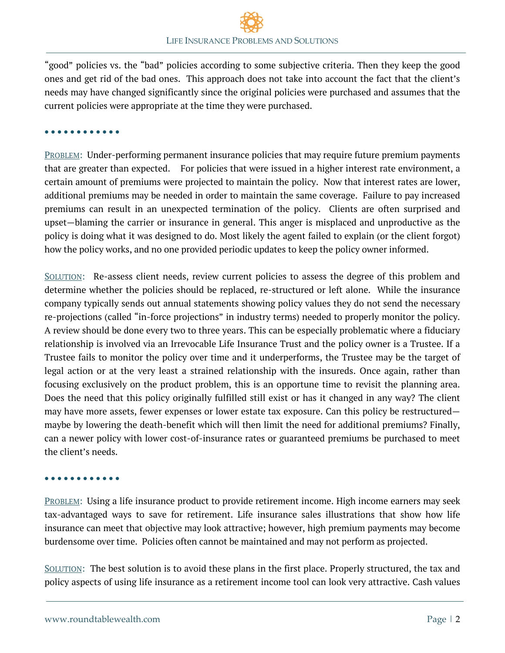"good" policies vs. the "bad" policies according to some subjective criteria. Then they keep the good ones and get rid of the bad ones. This approach does not take into account the fact that the client's needs may have changed significantly since the original policies were purchased and assumes that the current policies were appropriate at the time they were purchased.

• • • • • • • • • • • •

PROBLEM: Under-performing permanent insurance policies that may require future premium payments that are greater than expected. For policies that were issued in a higher interest rate environment, a certain amount of premiums were projected to maintain the policy. Now that interest rates are lower, additional premiums may be needed in order to maintain the same coverage. Failure to pay increased premiums can result in an unexpected termination of the policy. Clients are often surprised and upset—blaming the carrier or insurance in general. This anger is misplaced and unproductive as the policy is doing what it was designed to do. Most likely the agent failed to explain (or the client forgot) how the policy works, and no one provided periodic updates to keep the policy owner informed.

SOLUTION: Re-assess client needs, review current policies to assess the degree of this problem and determine whether the policies should be replaced, re-structured or left alone. While the insurance company typically sends out annual statements showing policy values they do not send the necessary re-projections (called "in-force projections" in industry terms) needed to properly monitor the policy. A review should be done every two to three years. This can be especially problematic where a fiduciary relationship is involved via an Irrevocable Life Insurance Trust and the policy owner is a Trustee. If a Trustee fails to monitor the policy over time and it underperforms, the Trustee may be the target of legal action or at the very least a strained relationship with the insureds. Once again, rather than focusing exclusively on the product problem, this is an opportune time to revisit the planning area. Does the need that this policy originally fulfilled still exist or has it changed in any way? The client may have more assets, fewer expenses or lower estate tax exposure. Can this policy be restructured maybe by lowering the death-benefit which will then limit the need for additional premiums? Finally, can a newer policy with lower cost-of-insurance rates or guaranteed premiums be purchased to meet the client's needs.

#### • • • • • • • • • • • •

PROBLEM: Using a life insurance product to provide retirement income. High income earners may seek tax-advantaged ways to save for retirement. Life insurance sales illustrations that show how life insurance can meet that objective may look attractive; however, high premium payments may become burdensome over time. Policies often cannot be maintained and may not perform as projected.

SOLUTION: The best solution is to avoid these plans in the first place. Properly structured, the tax and policy aspects of using life insurance as a retirement income tool can look very attractive. Cash values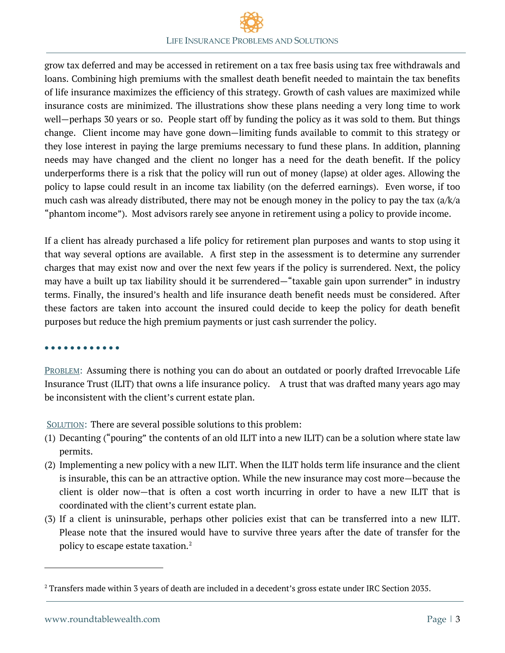grow tax deferred and may be accessed in retirement on a tax free basis using tax free withdrawals and loans. Combining high premiums with the smallest death benefit needed to maintain the tax benefits of life insurance maximizes the efficiency of this strategy. Growth of cash values are maximized while insurance costs are minimized. The illustrations show these plans needing a very long time to work well—perhaps 30 years or so. People start off by funding the policy as it was sold to them. But things change. Client income may have gone down—limiting funds available to commit to this strategy or they lose interest in paying the large premiums necessary to fund these plans. In addition, planning needs may have changed and the client no longer has a need for the death benefit. If the policy underperforms there is a risk that the policy will run out of money (lapse) at older ages. Allowing the policy to lapse could result in an income tax liability (on the deferred earnings). Even worse, if too much cash was already distributed, there may not be enough money in the policy to pay the tax (a/k/a "phantom income"). Most advisors rarely see anyone in retirement using a policy to provide income.

If a client has already purchased a life policy for retirement plan purposes and wants to stop using it that way several options are available. A first step in the assessment is to determine any surrender charges that may exist now and over the next few years if the policy is surrendered. Next, the policy may have a built up tax liability should it be surrendered—"taxable gain upon surrender" in industry terms. Finally, the insured's health and life insurance death benefit needs must be considered. After these factors are taken into account the insured could decide to keep the policy for death benefit purposes but reduce the high premium payments or just cash surrender the policy.

#### • • • • • • • • • • • •

PROBLEM: Assuming there is nothing you can do about an outdated or poorly drafted Irrevocable Life Insurance Trust (ILIT) that owns a life insurance policy. A trust that was drafted many years ago may be inconsistent with the client's current estate plan.

SOLUTION: There are several possible solutions to this problem:

- (1) Decanting ("pouring" the contents of an old ILIT into a new ILIT) can be a solution where state law permits.
- (2) Implementing a new policy with a new ILIT. When the ILIT holds term life insurance and the client is insurable, this can be an attractive option. While the new insurance may cost more—because the client is older now—that is often a cost worth incurring in order to have a new ILIT that is coordinated with the client's current estate plan.
- (3) If a client is uninsurable, perhaps other policies exist that can be transferred into a new ILIT. Please note that the insured would have to survive three years after the date of transfer for the policy to escape estate taxation. $^2$  $^2$

 $\overline{a}$ 

<span id="page-2-0"></span><sup>&</sup>lt;sup>2</sup> Transfers made within 3 years of death are included in a decedent's gross estate under IRC Section 2035.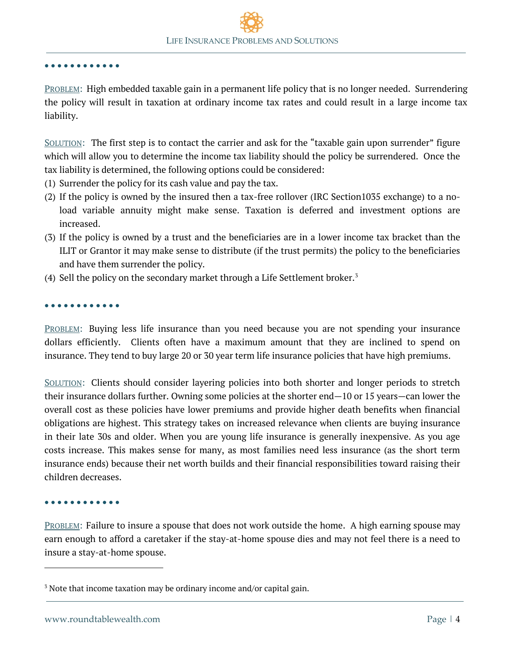#### • • • • • • • • • • • •

PROBLEM: High embedded taxable gain in a permanent life policy that is no longer needed. Surrendering the policy will result in taxation at ordinary income tax rates and could result in a large income tax liability.

SOLUTION: The first step is to contact the carrier and ask for the "taxable gain upon surrender" figure which will allow you to determine the income tax liability should the policy be surrendered. Once the tax liability is determined, the following options could be considered:

- (1) Surrender the policy for its cash value and pay the tax.
- (2) If the policy is owned by the insured then a tax-free rollover (IRC Section1035 exchange) to a noload variable annuity might make sense. Taxation is deferred and investment options are increased.
- (3) If the policy is owned by a trust and the beneficiaries are in a lower income tax bracket than the ILIT or Grantor it may make sense to distribute (if the trust permits) the policy to the beneficiaries and have them surrender the policy.
- (4) Sell the policy on the secondary market through a Life Settlement broker.<sup>[3](#page-3-0)</sup>

#### • • • • • • • • • • • •

PROBLEM: Buying less life insurance than you need because you are not spending your insurance dollars efficiently. Clients often have a maximum amount that they are inclined to spend on insurance. They tend to buy large 20 or 30 year term life insurance policies that have high premiums.

SOLUTION: Clients should consider layering policies into both shorter and longer periods to stretch their insurance dollars further. Owning some policies at the shorter end—10 or 15 years—can lower the overall cost as these policies have lower premiums and provide higher death benefits when financial obligations are highest. This strategy takes on increased relevance when clients are buying insurance in their late 30s and older. When you are young life insurance is generally inexpensive. As you age costs increase. This makes sense for many, as most families need less insurance (as the short term insurance ends) because their net worth builds and their financial responsibilities toward raising their children decreases.

#### • • • • • • • • • • • •

 $\overline{a}$ 

PROBLEM: Failure to insure a spouse that does not work outside the home. A high earning spouse may earn enough to afford a caretaker if the stay-at-home spouse dies and may not feel there is a need to insure a stay-at-home spouse.

<span id="page-3-0"></span><sup>&</sup>lt;sup>3</sup> Note that income taxation may be ordinary income and/or capital gain.